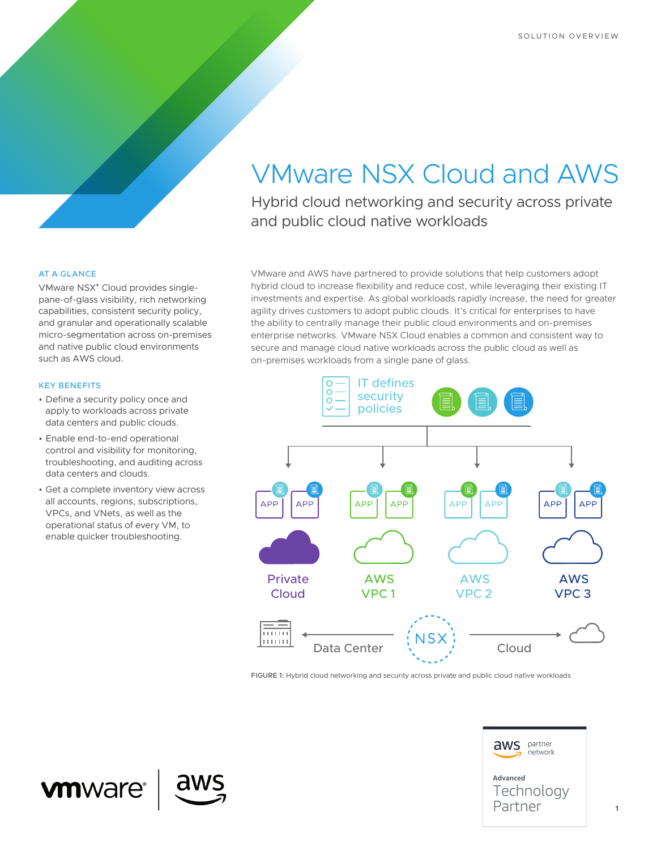# VMware NSX Cloud and AWS

Hybrid cloud networking and security across private and public cloud native workloads

### AT A GLANCE

VMware NSX® Cloud provides singlepane-of-glass visibility, rich networking capabilities, consistent security policy, and granular and operationally scalable micro-segmentation across on-premises and native public cloud environments such as AWS cloud.

#### KEY BENEFITS

- Define a security policy once and apply to workloads across private data centers and public clouds.
- Enable end-to-end operational control and visibility for monitoring, troubleshooting, and auditing across data centers and clouds.
- Get a complete inventory view across all accounts, regions, subscriptions, VPCs, and VNets, as well as the operational status of every VM, to enable quicker troubleshooting.

VMware and AWS have partnered to provide solutions that help customers adopt hybrid cloud to increase flexibility and reduce cost, while leveraging their existing IT investments and expertise. As global workloads rapidly increase, the need for greater agility drives customers to adopt public clouds. It's critical for enterprises to have the ability to centrally manage their public cloud environments and on-premises enterprise networks. VMware NSX Cloud enables a common and consistent way to secure and manage cloud native workloads across the public cloud as well as on-premises workloads from a single pane of glass.



FIGURE 1: Hybrid cloud networking and security across private and public cloud native workloads



 **1**

# **vm**ware®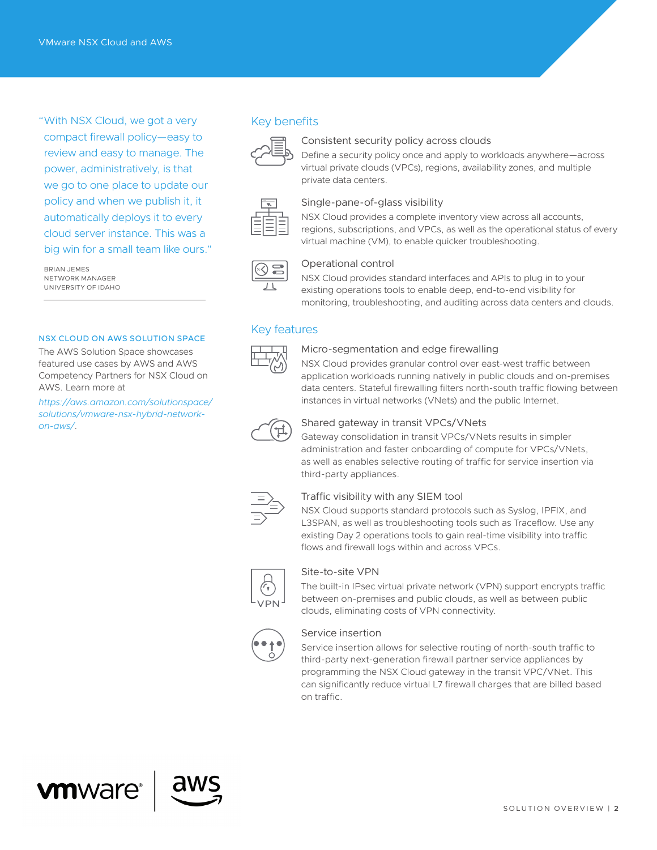"With NSX Cloud, we got a very compact firewall policy—easy to review and easy to manage. The power, administratively, is that we go to one place to update our policy and when we publish it, it automatically deploys it to every cloud server instance. This was a big win for a small team like ours."

BRIAN JEMES NETWORK MANAGER UNIVERSITY OF IDAHO

#### NSX CLOUD ON AWS SOLUTION SPACE

The AWS Solution Space showcases featured use cases by AWS and AWS Competency Partners for NSX Cloud on AWS. Learn more at

*[https://aws.amazon.com/solutionspace/](https://aws.amazon.com/solutionspace/solutions/vmware-nsx-hybrid-network-on-aws/) [solutions/vmware-nsx-hybrid-network](https://aws.amazon.com/solutionspace/solutions/vmware-nsx-hybrid-network-on-aws/)[on-aws/](https://aws.amazon.com/solutionspace/solutions/vmware-nsx-hybrid-network-on-aws/)*.

### Key benefits



#### Consistent security policy across clouds

Define a security policy once and apply to workloads anywhere—across virtual private clouds (VPCs), regions, availability zones, and multiple private data centers.



## Single-pane-of-glass visibility

NSX Cloud provides a complete inventory view across all accounts, regions, subscriptions, and VPCs, as well as the operational status of every virtual machine (VM), to enable quicker troubleshooting.



#### Operational control

NSX Cloud provides standard interfaces and APIs to plug in to your existing operations tools to enable deep, end-to-end visibility for monitoring, troubleshooting, and auditing across data centers and clouds.

## Key features



#### Micro-segmentation and edge firewalling

NSX Cloud provides granular control over east-west traffic between application workloads running natively in public clouds and on-premises data centers. Stateful firewalling filters north-south traffic flowing between instances in virtual networks (VNets) and the public Internet.



#### Shared gateway in transit VPCs/VNets

Gateway consolidation in transit VPCs/VNets results in simpler administration and faster onboarding of compute for VPCs/VNets, as well as enables selective routing of traffic for service insertion via third-party appliances.



## Traffic visibility with any SIEM tool

NSX Cloud supports standard protocols such as Syslog, IPFIX, and L3SPAN, as well as troubleshooting tools such as Traceflow. Use any existing Day 2 operations tools to gain real-time visibility into traffic flows and firewall logs within and across VPCs.



#### Site-to-site VPN

The built-in IPsec virtual private network (VPN) support encrypts traffic between on-premises and public clouds, as well as between public clouds, eliminating costs of VPN connectivity.



#### Service insertion

Service insertion allows for selective routing of north-south traffic to third-party next-generation firewall partner service appliances by programming the NSX Cloud gateway in the transit VPC/VNet. This can significantly reduce virtual L7 firewall charges that are billed based on traffic.



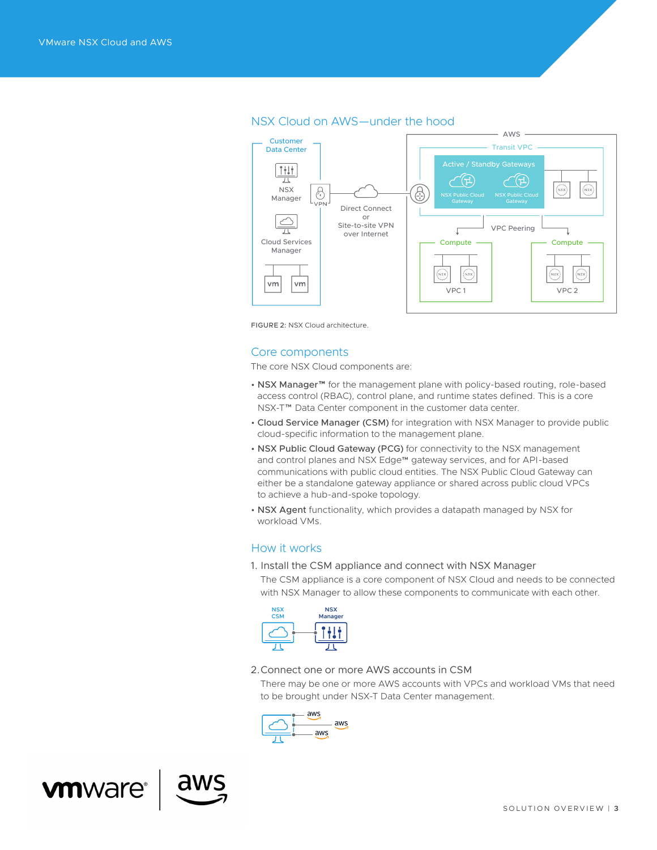

## NSX Cloud on AWS—under the hood

FIGURE 2: NSX Cloud architecture.

#### Core components

The core NSX Cloud components are:

- NSX Manager™ for the management plane with policy-based routing, role-based access control (RBAC), control plane, and runtime states defined. This is a core NSX-T™ Data Center component in the customer data center.
- Cloud Service Manager (CSM) for integration with NSX Manager to provide public cloud-specific information to the management plane.
- NSX Public Cloud Gateway (PCG) for connectivity to the NSX management and control planes and NSX Edge™ gateway services, and for API-based communications with public cloud entities. The NSX Public Cloud Gateway can either be a standalone gateway appliance or shared across public cloud VPCs to achieve a hub-and-spoke topology.
- NSX Agent functionality, which provides a datapath managed by NSX for workload VMs.

## How it works

1. Install the CSM appliance and connect with NSX Manager

The CSM appliance is a core component of NSX Cloud and needs to be connected with NSX Manager to allow these components to communicate with each other.



2. Connect one or more AWS accounts in CSM

There may be one or more AWS accounts with VPCs and workload VMs that need to be brought under NSX-T Data Center management.